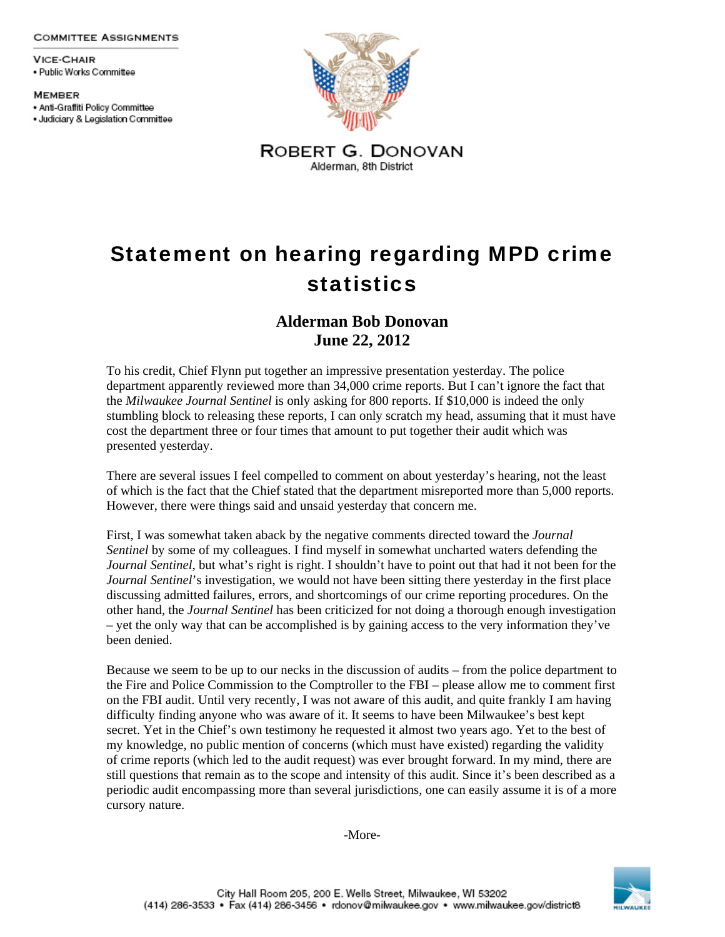**COMMITTEE ASSIGNMENTS** 

**VICE-CHAIR** · Public Works Committee

**MEMBER** · Anti-Graffiti Policy Committee · Judiciary & Legislation Committee



Statement on hearing regarding MPD crime statistics

## **Alderman Bob Donovan June 22, 2012**

To his credit, Chief Flynn put together an impressive presentation yesterday. The police department apparently reviewed more than 34,000 crime reports. But I can't ignore the fact that the *Milwaukee Journal Sentinel* is only asking for 800 reports. If \$10,000 is indeed the only stumbling block to releasing these reports, I can only scratch my head, assuming that it must have cost the department three or four times that amount to put together their audit which was presented yesterday.

There are several issues I feel compelled to comment on about yesterday's hearing, not the least of which is the fact that the Chief stated that the department misreported more than 5,000 reports. However, there were things said and unsaid yesterday that concern me.

First, I was somewhat taken aback by the negative comments directed toward the *Journal Sentinel* by some of my colleagues. I find myself in somewhat uncharted waters defending the *Journal Sentinel*, but what's right is right. I shouldn't have to point out that had it not been for the *Journal Sentinel*'s investigation, we would not have been sitting there yesterday in the first place discussing admitted failures, errors, and shortcomings of our crime reporting procedures. On the other hand, the *Journal Sentinel* has been criticized for not doing a thorough enough investigation – yet the only way that can be accomplished is by gaining access to the very information they've been denied.

Because we seem to be up to our necks in the discussion of audits – from the police department to the Fire and Police Commission to the Comptroller to the FBI – please allow me to comment first on the FBI audit. Until very recently, I was not aware of this audit, and quite frankly I am having difficulty finding anyone who was aware of it. It seems to have been Milwaukee's best kept secret. Yet in the Chief's own testimony he requested it almost two years ago. Yet to the best of my knowledge, no public mention of concerns (which must have existed) regarding the validity of crime reports (which led to the audit request) was ever brought forward. In my mind, there are still questions that remain as to the scope and intensity of this audit. Since it's been described as a periodic audit encompassing more than several jurisdictions, one can easily assume it is of a more cursory nature.

-More-